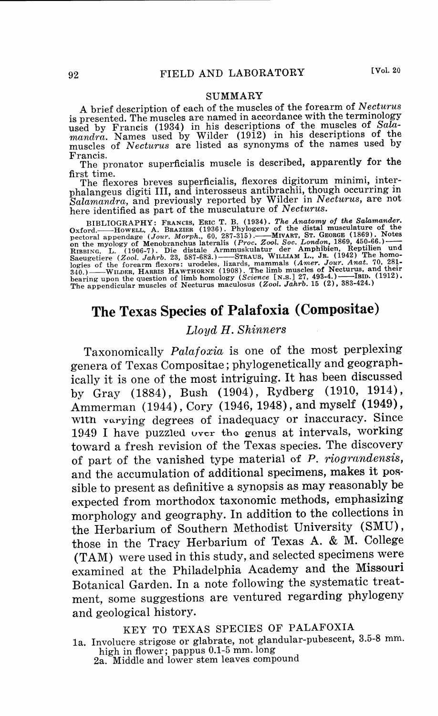### **SUMMARY**

A brief description of each of the muscles of the forearm of *Necturus*  is presented. The muscles are named in accordance with the terminology used by Francis (1934) in his descriptions of the muscles of *Sala-mandra.* Names used by Wilder (1912) in his descriptions of the muscles of *Necturus* are listed as synonyms of the names used by

Francis. The pronator superficialis muscle is described, apparently for **the** 

The flexores breves superficialis, flexores digitorum minimi, inter<sup>p</sup>halangeus digiti III, and interosseus antibrachii, though occurring in *Salamandra,* and previously reported by Wilder in *Necturus,* are not here identified as part of the musculature of *Necturus.* 

BIBLIOGRAPHY: FRANCIS, ERIC T. B. (1934). The Anatomy of the Salamander.<br>Oxford.——HowELL, A. BRAZIER (1936). Phylogeny of the distal musculature of the pectoral appendage (Jour. Morph., 60, 287-315).——MIVART, ST. GEORGE (1

# **The Texas Species of Palafoxia (Compositae)**

### *Lloyd H. Shinners*

Taxonomically *Palafoxia* is one of the most perplexing genera of Texas Compositae; phylogenetically and geographically it is one of the most intriguing. It has been discussed by Gray (1884), Bush (1904), Rydberg (1910, 1914), Ammerman (1944), Cory (1946, 1948), and myself (1949), With varying degrees of inadequacy or inaccuracy. Since 1949 I have puzzled over the genus at intervals, working toward a fresh revision of the Texas species. The discovery of part of the vanished type material of *P. riograndensis,*  and the accumulation of additional specimens, makes it possible to present as definitive a synopsis as may reasonably be expected from morthodox taxonomic methods, emphasizing morphology and geography. In addition to the collections in the Herbarium of Southern Methodist University (SMU), those in the Tracy Herbarium of Texas A. & M. College (TAM) were used in this study, and selected specimens were examined at the Philadelphia Academy and the Missouri Botanical Garden. In a note following the systematic treatment, some suggestions are ventured regarding phylogeny and geological history.

KEY TO TEXAS SPECIES OF PALAFOXIA

- 1a. Involucre strigose or glabrate, not glandular-pubescent, 3.5-8 mm. high in flower; pappus 0.1-5 mm. long<br>2a. Middle and lower stem leaves compound
	-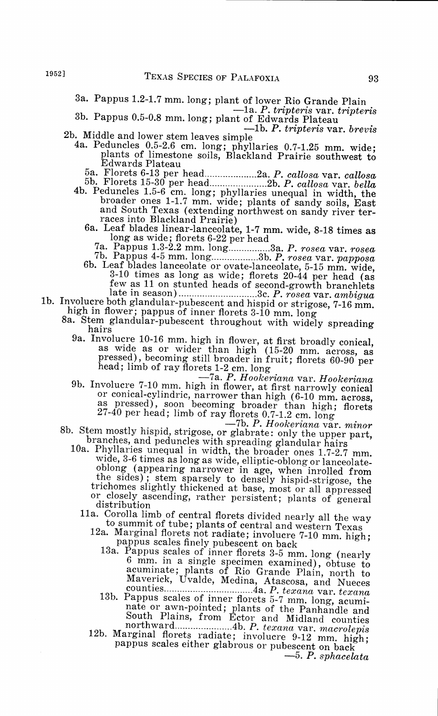- 
- 3a. Pappus 1.2-1.7 mm. long; plant of lower Rio Grande Plain<br>  $-1$ a. *P. tripteris* var. *tripteris*<br>
3b. Pappus 0.5-0.8 mm. long; plant of Edwards Plateau<br>
2b. Middle and lower stem leaves simple<br>
4a. Peduncles 0.5-2.6 c

Edwards Plateau<br>5a. Florets 6-13 per head..........................2a. P. callosa var. callosa

- 5a. Florets 6-13 per head .................... 2a. *P. callosa* var. *callosa* 5b. Florets 15-30 per head ...................... 2b. *P. callosa* var. *bella* 4b. Peduncles 1.5-6 cm. long; phyllaries unequal in width, the broader ones 1-1.7 mm. wide; plants of sandy soils, East and South Texas (extending northwest on sandy river terraces into Blackland Prairie)
	-

- 6a. Leaf blades linear-lanceolate, 1-7 mm. wide, 8-18 times as<br>long as wide; florets 6-22 per head<br> $7a$ . Pappus 1.3-2.2 mm. long..............3a. P. rosea var. rosea<br> $7b$ . Pappus 4-5 mm. long....................3b. P. ros few as 11 on stunted heads of second-growth branchlets
- 1b. Involucre both glandular-pubescent and hispid or strigose, 7-16 mm. high in flower; pappus of inner florets 3-10 mm. long
	- 8a. Stem glandular-pubescent throughout with widely spreading<br>hairs<br>9a. Involucre 10-16 mm. high in flower, at first broadly conical,
		- 9a. Involucre 10-16 mm. high in flower, at first broadly conical, as wide as or wider than high (15-20 mm. across, as pressed), becoming still broader in fruit; florets 60-90 per
		- head; limb of ray florets 1-2 cm. long<br>-7a. *P. Hookeriana* var. *Hookeriana*<br>9b. Involucre 7-10 mm. high in flower, at first narrowly conical as pressed), soon becoming broader than high; florets<br>as pressed), soon becoming broader than high; florets<br>27-40 per head; limb of ray florets 0.7-1.2 cm. long

8b. Stem mostly hispid, strigose, or glabrate: only the upper part,<br>branches, and peduncles with spreading glandular hairs<br>10a. Phyllaries unequal in width, the broader ones 1.7-2.7 mm.<br>wide, 3-6 times as long as wide, ell

- oblong (appearing narrower in age, when inrolled from the sides); stem sparsely to densely hispid-strigose, the trichomes slightly thickened at base, most or all appressed or closely ascending, rather persistent; plants of general
	- distribution of central florets divided nearly all the way
		-
		- to summit of tube; plants of central and western Texas<br>12a. Marginal florets not radiate; involucre 7-10 mm. high;<br>pappus scales finely pubescent on back<br>13a. Pappus scales of inner florets 3-5 mm. long (nearly<br>6 mm. in a acuminate; plants of Rio Grande Plain, north to Maverick, Uvalde, Medina, Atascosa, and Nueces
			- counties ................................. .4a. *P. texana* var. *texana* 13b. Pappus scales of inner florets 5-7 mm. long, acumi- nate or awn-pointed; plants of the Panhandle and South Plains, from Ector and Midland counties
		- 12b. Marginal florets radiate; involucre 9-12 mm. high; pappus scales either glabrous or pubescent on back -5. *P. sphacelata*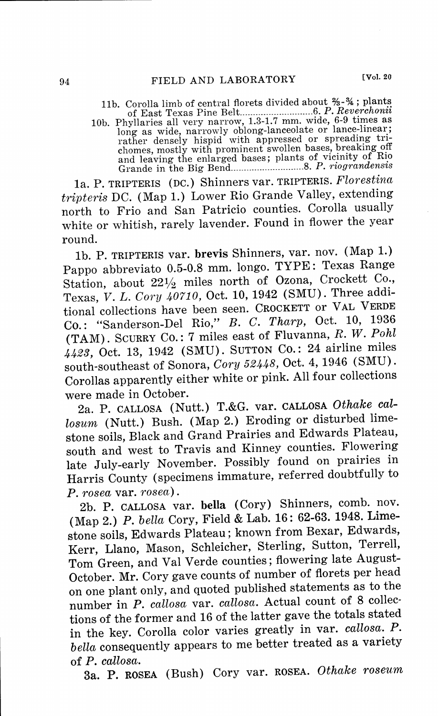11b. Corolla limb of central florets divided about  $% -$  4; plants of East Texas Pine Belt ............................ 6. *P. Rev~rchonii*  10b. Phyllaries all very narrow, 1.3-1.7 mm. wide, 6-9 times as long as wide, narrowly oblong-lanceolate or lance-linear; rather densely hispid with appressed or spreading tri-<br>chomes, mostly with prominent swollen bases, breaking off and leaving the enlarged bases; plants of vicinity of Rio Grande in the Big Bend ............................ 8. *P. riograndensis* 

la. P. TRIPTERIS (DC.) Shinners var. TRIPTERIS. *Florestina tripteris* DC. (Map 1.) Lower Rio Grande Valley, extending north to Frio and San Patricio counties. Corolla usually white or whitish, rarely lavender. Found in flower the year round.

lb. P. TRIPTERIS var. **brevis** Shinners, var. nov. (Map 1.) Pappo abbreviato 0.5-0.8 mm. longo. TYPE: Texas Range Station, about 22½ miles north of Ozona, Crockett Co., Texas, *V. L. Cory 40710,* Oct. 10, 1942 (SMU). Three additional collections have been seen. CROCKETT or VAL VERDE Co.: "Sanderson-Del Rio," B. C. *Tharp,* Oct. 10, 1936 (TAM). SCURRY Co.: <sup>7</sup>miles east of Fluvanna, R. W. *Pohl 4423,* Oct. 13, 1942 (SMU). SUTTON Co.: 24 airline miles south-southeast of Sonora, *Cory 52448,* Oct. 4, 1946 (SMU). Corollas apparently either white or pink. All four collections were made in October.

2a. P. CALLOSA (Nutt.) T.&G. var. CALLOSA *Othake callosum* (Nutt.) Bush. (Map 2.) Eroding or disturbed limestone soils, Black and Grand Prairies and Edwards Plateau, south and west to Travis and Kinney counties. Flowering late July-early November. Possibly found on prairies in Harris County (specimens immature, referred doubtfully to *P. rosea* var. *rosea).* 

2b. P. CALLOSA var. **bella** (Cory) Shinners, comb. nov. (Map 2.) *P. bella* Cory, Field & Lab. 16: 62-63. 1948. Limestone soils, Edwards Plateau; known from Bexar, Edwards, Kerr, Llano, Mason, Schleicher, Sterling, Sutton, Terrell, Tom Green, and Val Verde counties; flowering late August-October. Mr. Cory gave counts of number of florets per head on one plant only, and quoted published statements as to the number in *P. callosa* var. *callosa.* Actual count of 8 collections of the former and 16 of the latter gave the totals stated in the key. Corolla color varies greatly in var. *callosa. P. bella* consequently appears to me better treated as a variety of *P. callosa.* 

3a. P. ROSEA (Bush) Cory var. ROSEA. *Othake roseum*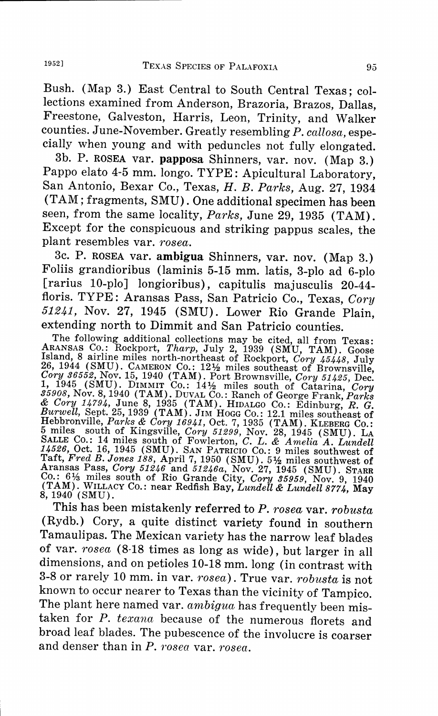Bush. (Map 3.) East Central to South Central Texas; collections examined from Anderson, Brazoria, Brazos, Dallas, Freestone, Galveston, Harris, Leon, Trinity, and Walker counties. June-November. Greatly resembling *P. callosa,* especially when young and with peduncles not fully elongated.

3b. P. ROSEA var. **papposa** Shinners, var. nov. (Map 3.) Pappo elato 4-5 mm. longo. TYPE: Apicultural Laboratory, San Antonio, Bexar Co., Texas, *H. B. Parks,* Aug. 27, 1934 (TAM; fragments, SMU). One additional specimen has been seen, from the same locality, *Parks,* June 29, 1935 (TAM). Except for the conspicuous and striking pappus scales, the plant resembles var. *rosea.* 

3c. P. ROSEA var. **ambigua** Shinners, var. nov. (Map 3.) Foliis grandioribus (laminis 5-15 mm. latis, 3-plo ad 6-plo [rarius 10-plo] longioribus), capitulis majusculis 20-44 floris. TYPE: Aransas Pass, San Patricio Co., Texas, *Cory 51241,* Nov. 27, 1945 (SMU). Lower Rio Grande Plain, extending north to Dimmit and San Patricio counties.

The following additional collections may be cited, all from Texas:<br>ARANSAS CO.: Rockport, *Tharp*, July 2, 1939 (SMU, TAM). Goose<br>Island, 8 airline miles north-northeast of Rockport, *Cory 45448*, July<br>26, 1944 (SMU). CAM Cory 36552, Nov. 15, 1940 (TAM). Port Brownsville, Cory 51425, Dec.<br>1, 1945 (SMU). DIMMIT Co.: 141<sup>2</sup> miles south of Catarina, Cory<br>35908, Nov. 8, 1940 (TAM). DUVAL Co.: Ranch of George Frank, *Parks*<br> $\&$  Cory 14794, Jun

This has been mistakenly referred to *P. rosea* var. *robusta*  (Rydb.) Cory, a quite distinct variety found in southern Tamaulipas. The Mexican variety has the narrow leaf blades of var. *rosea* (8-18 times as long as wide), but larger in all dimensions, and on petioles 10-18 mm. long (in contrast with 3-8 or rarely 10 mm. in var. *rosea).* True var. *robusta* is not known to occur nearer to Texas than the vicinity of Tampico. The plant here named var. *ambigua* has frequently been mistaken for *P. texana* because of the numerous florets and broad leaf blades. The pubescence of the involucre is coarser and denser than in *P. rosea* var. *rosea.*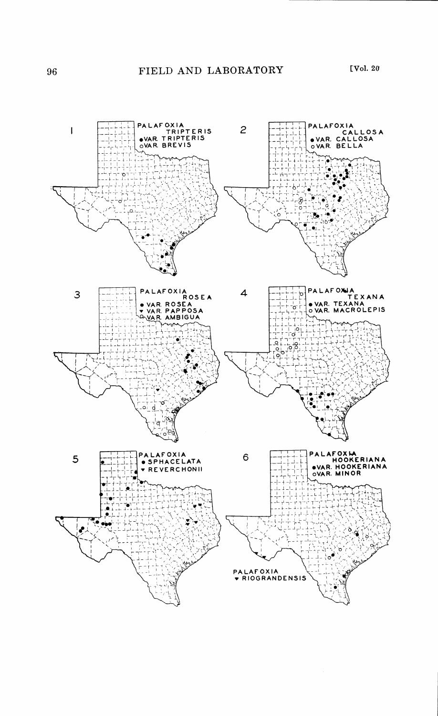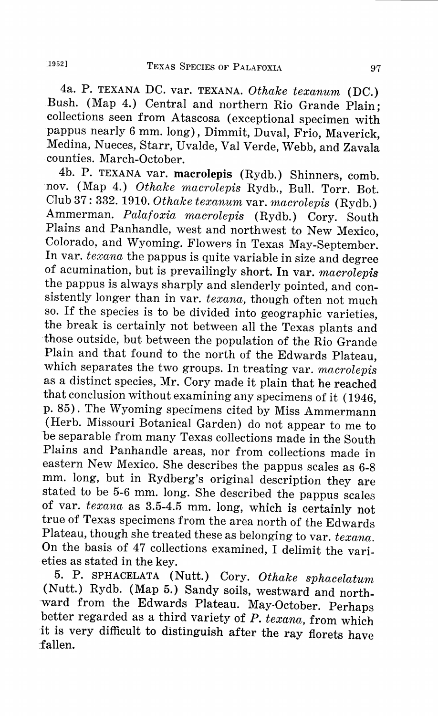4a. P. TEXANA DC. var. TEXANA. *Othake texanum* (DC.) Bush. (Map 4.) Central and northern Rio Grande Plain; collections seen from Atascosa ( exceptional specimen with pappus nearly 6 mm. long), Dimmit, Duval, Frio, Maverick, Medina, Nueces, Starr, Uvalde, Val Verde, Webb, and Zavala counties. March-October.

4b. P. TEXANA var. **macrolepis** (Rydb.) Shinners, comb. nov. (Map 4.) *Othake macrolepis* Rydb., Bull. Torr. Bot. Club 37: 332. 1910. *Othake texanum* var. *macrolepis* (Rydb.) Ammerman. *Palafoxia macrolepis* (Rydb.) Cory. South Plains and Panhandle, west and northwest to New Mexico, Colorado, and Wyoming. Flowers in Texas May-September. In var. *texana* the pappus is quite variable in size and degree of acumination, but is prevailingly short. In var. *macrolepis*  the pappus is always sharply and slenderly pointed, and consistently longer than in var. *texana,* though often not much so. If the species is to be divided into geographic varieties, the break is certainly not between all the Texas plants and those outside, but between the population of the Rio Grande Plain and that found to the north of the Edwards Plateau, which separates the two groups. In treating var. *macrolepis*  as a distinct species, Mr. Cory made it plain that he reached that conclusion without examining any specimens of it ( 1946, p. 85). The Wyoming specimens cited by Miss Ammermann (Herb. Missouri Botanical Garden) do not appear to me to be separable from many Texas collections made in the South Plains and Panhandle areas, nor from collections made in eastern New Mexico. She describes the pappus scales as 6-8 mm. long, but in Rydberg's original description they are stated to be 5-6 mm. long. She described the pappus scales of var. *texana* as 3.5-4.5 mm. long, which is certainly not true of Texas specimens from the area north of the Edwards Plateau, though she treated these as belonging to var. *texana.*  On the basis of 47 collections examined, I delimit the varieties as stated in the key.

5. P. SPHACELATA **(Nutt.)** Cory. *Othake sphacelatum*  (Nutt.) Rydb. (Map 5.) Sandy soils, westward and northward from the Edwards Plateau. May-October. Perhaps better regarded as a third variety of *P. texana,* from which it is very difficult to distinguish after the ray florets have fallen.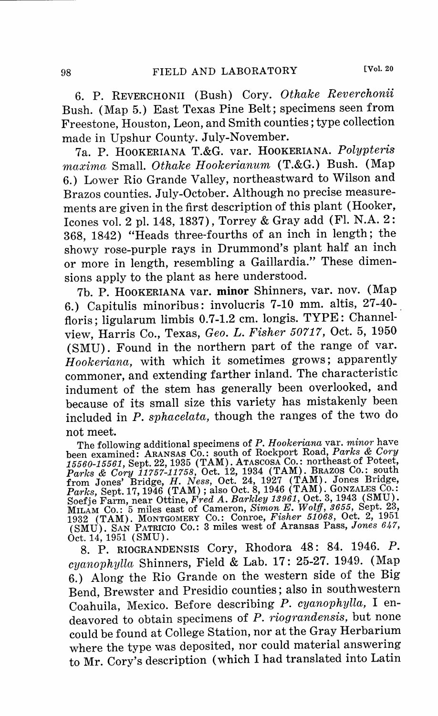6. P. REVERCH0NII (Bush) Cory. *Othake Reverchonii*  Bush. ( Map 5.) East Texas Pine Belt; specimens seen from Freestone, Houston, Leon, and Smith counties; type collection made in Upshur County. July-November.

7a. P. H00KERIANA T.&G. var. H00KERIANA. *Polypteris maxima* Small. *Othake Hookerianum* (T.&G.) Bush. (Map 6.) Lower Rio Grande Valley, northeastward to Wilson and Brazos counties. July-October. Although no precise measurements are given in the first description of this plant (Hooker, !cones vol. 2 pl. 148, 1837), Torrey & Gray add (Fl. N.A. 2: 368, 1842) "Heads three-fourths of an inch in length; the showy rose-purple rays in Drummond's plant half an inch or more in length, resembling a Gaillardia." These dimensions apply to the plant as here understood.

7b. P. HooKERIANA var. **minor** Shinners, var. nov. (Map 6.) Capitulis minoribus: involucris 7-10 mm. altis, 27-40-. floris; ligularum limbis 0.7-1.2 cm. longis. TYPE: Channelview, Harris Co., Texas, *Geo. L. Fisher 50717,* Oct. 5, 1950 (SMU). Found in the northern part of the range of var. *H ookeriana,* with which it sometimes grows; apparently commoner, and extending farther inland. The characteristic indument of the stem has generally been overlooked, and because of its small size this variety has mistakenly been included in *P. sphacelata,* though the ranges of the two do

not meet.<br>The following additional specimens of P. Hookeriana var. minor have The following additional specimens of P. Hookeriana var. minor have<br>been examined: ARANSAS CO.: south of Rockport Road, Parks & Cory<br>15560-15561, Sept. 22, 1935 (TAM). ATASCOSA CO.: northeast of Poteet,<br>Parks & Cory 11757-(SMU). SAN PATRICIO Co.: 3 miles west of Aransas Pass, *Jones 647,*  Oct. 14, 1951 ( SMU).

8. P. RIOGRANDENSIS Cory, Rhodora 48: 84. 1946. P. *cyanophylla* Shinners, Field & Lab. 17: 25-27. 1949. (Map 6.) Along the Rio Grande on the western side of the Big Bend, Brewster and Presidio counties; also in southwestern Coahuila, Mexico. Before describing *P. cyanophylla,* <sup>I</sup>endeavored to obtain specimens of *P. riograndensis,* but none could be found at College Station, nor at the Gray Herbarium where the type was deposited, nor could material answering to Mr. Cory's description (which I had translated into Latin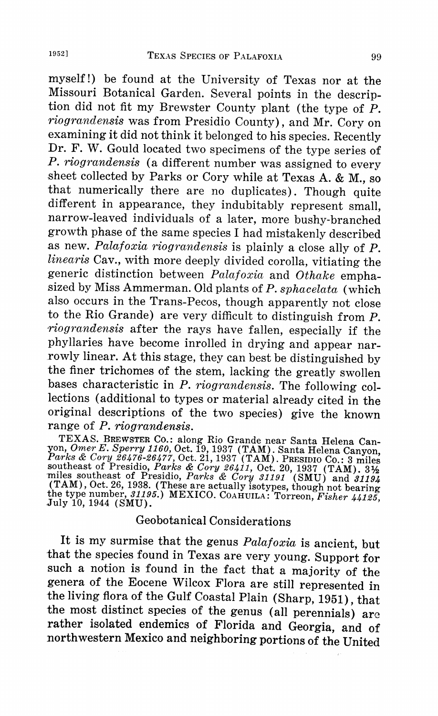myself!) be found at the University of Texas nor at the Missouri Botanical Garden. Several points in the description did not fit my Brewster County plant (the type of P. *riograndensis* was from Presidio County), and Mr. Cory on examining it did not think it belonged to his species. Recently Dr. F. W. Gould located two specimens of the type series of *P. riograndensis* (a different number was assigned to every sheet collected by Parks or Cory while at Texas A. & M., so that numerically there are no duplicates). Though quite different in appearance, they indubitably represent small, narrow-leaved individuals of a later, more bushy-branched growth phase of the same species I had mistakenly described as new. *Palafoxia riograndensis* is plainly a close ally of *P. linearis* Cav., with more deeply divided corolla, vitiating the generic distinction between *Palafoxia* and *Othake* emphasized by Miss Ammerman. Old plants of *P. sphacelata* (which also occurs in the Trans-Pecos, though apparently not close to the Rio Grande) are very difficult to distinguish from P. *,riograndensis* after the rays have fallen, especially if the phyllaries have become inrolled in drying and appear narrowly linear. At this stage, they can best be distinguished by the finer trichomes of the stem, lacking the greatly swollen bases characteristic in *P. riograndensis.* The following collections (additional to types or material already cited in the original descriptions of the two species) give the known range of *P. riograndensis.* 

TEXAS. BREWSTER Co.: along Rio Grande near Santa Helena Can yon, Omer E. Sperry 1160, Oct. 19, 1937 (TAM). Santa Helena Canyon, Parks & Cory 26476-26477, Oct. 21, 1937 (TAM). PRESIDIO CO.: 3 miles southeast of Presidio, Parks & Cory 26411, Oct. 20, 1937 (TAM). 3½<br>miles southeast o the type number, *31195.)* MEXICO. COAHUILA: Torreon, *Fisher 44125,* .July 10, 1944 (SMU).

## Geo botanical Considerations

It is my surmise that the genus *Palafoxia* is ancient, but that the species found in Texas are very young. Support for such a notion is found in the fact that a majority of the genera of the Eocene Wilcox Flora are still represented in the living flora of the Gulf Coastal Plain (Sharp, 1951), that the most distinct species of the genus (all perennials) are rather isolated endemics of Florida and Georgia, and of northwestern Mexico and neighboring portions of the United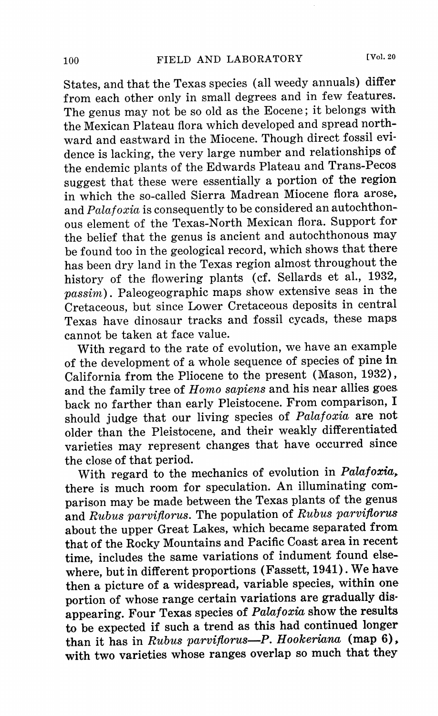States, and that the Texas species (all weedy annuals) differ from each other only in small degrees and in few features. The genus may not be so old as the Eocene; it belongs with the Mexican Plateau flora which developed and spread northward and eastward in the Miocene. Though direct fossil evidence is lacking, the very large number and relationships of the endemic plants of the Edwards Plateau and Trans-Pecos suggest that these were essentially a portion of the region in which the so-called Sierra Madrean Miocene flora arose, and *Palafoxia* is consequently to be considered an autochthonous element of the Texas-North Mexican flora. Support for the belief that the genus is ancient and autochthonous may be found too in the geological record, which shows that there has been dry land in the Texas region almost throughout the history of the flowering plants (cf. Sellards et al., 1932, *passim).* Paleogeographic maps show extensive seas in the Cretaceous, but since Lower Cretaceous deposits in central Texas have dinosaur tracks and fossil cycads, these maps cannot be taken at face value.

With regard to the rate of evolution, we have an example of the development of a whole sequence of species of pine in California from the Pliocene to the present (Mason, 1932), and the family tree of *Homo sapiens* and his near allies goes back no farther than early Pleistocene. From comparison, I should judge that our living species of *Palafoxia* are not older than the Pleistocene, and their weakly differentiated varieties may represent changes that have occurred since the close of that period.

With regard to the mechanics of evolution in *Palafoxia,*  there is much room for speculation. An illuminating comparison may be made between the Texas plants of the genus and *Rubus parvifforus.* The population of *Rubus parvifiorus*  about the upper Great Lakes, which became separated from that of the Rocky Mountains and Pacific Coast area in recent time, includes the same variations of indument found elsewhere, but in different proportions (Fassett, 1941). We have then a picture of a widespread, variable species, within one portion of whose range certain variations are gradually disappearing. Four Texas species of *Palafoxia* show the results to be expected if such a trend as this had continued longer than it has in *Rubus parvifiorus-P. Hookeriana* (map 6), with two varieties whose ranges overlap so much that they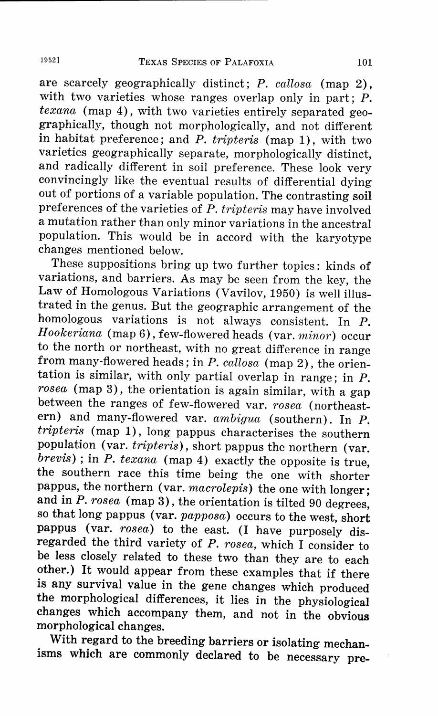are scarcely geographically distinct; *P. callosa* (map 2), with two varieties whose ranges overlap only in part; P. *texana* (map 4), with two varieties entirely separated geographically, though not morphologically, and not different in habitat preference; and *P. tripteris* (map 1), with two varieties geographically separate, morphologically distinct, and radically different in soil preference. These look very convincingly like the eventual results of differential dying out of portions of a variable population. The contrasting soil preferences of the varieties of *P. tripteris* may have involved a mutation rather than only minor variations in the ancestral population. This would be in accord with the karyotype changes mentioned below.

These suppositions bring up two further topics: kinds of variations, and barriers. As may be seen from the key, the Law of Homologous Variations (Vavilov, 1950) is well illustrated in the genus. But the geographic arrangement of the homologous variations is not always consistent. In P. *Hookeriana* (map 6), few-flowered heads (var. *minor)* occur to the north or northeast, with no great difference in range from many-flowered heads; in *P. callosa* (map 2), the orientation is similar, with only partial overlap in range; in P. *rosea* (map 3), the orientation is again similar, with a gap between the ranges of few-flowered var. *rosea* (northeastern) and many-flowered var. *ambigua* (southern). In *P. tripteris* (map 1), long pappus characterises the southern population (var. *tripteris),* short pappus the northern (var. *brevis)* ; in *P. texana* (map 4) exactly the opposite is true, the southern race this time being the one with shorter pappus, the northern ( var. *macrolepis)* the one with longer; and in *P. rosea* (map 3), the orientation is tilted 90 degrees, so that long pappus (var. *papposa)* occurs to the west, short pappus (var. *rosea)* to the east. (I have purposely disregarded the third variety of *P. rosea,* which I consider to be less closely related to these two than they are to each other.) It would appear from these examples that if there is any survival value in the gene changes which produced the morphological differences, it lies in the physiological changes which accompany them, and not in the obvious morphological changes.

With regard to the breeding barriers or isolating mechanisms which are commonly declared to be necessary pre